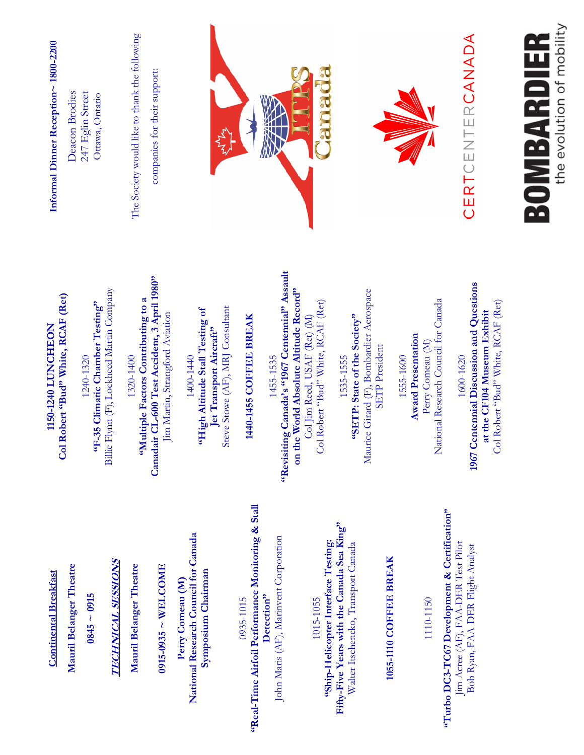

**Col Robert "Bud" White, RCAF (Ret)**  Col Robert "Bud" White, RCAF (Ret) 1150-1240 LUNCHEON **1150-1240 LUNCHEON** 

Billie Flynn (F), Lockheed Martin Company Billie Flynn (F), Lockheed Martin Company  $1240-1320$ <br> **"F-35 Climatic Chamber Testing" "F-35 Climatic Chamber Testing"** 

Canadair CL-600 Test Accident, 3 April 1980" **Canadair CL-600 Test Accident, 3 April 1980"**  1320-1400<br> **"Multiple Factors Contributing to a "Multiple Factors Contributing to a**  Jim Martin, Strangford Aviation Jim Martin, Strangford Aviation

Steve Stowe (AF), MRJ Consultant Steve Stowe (AF), MRJ Consultant 1400-1440<br> **"High Altitude Stall Testing of "High Altitude Stall Testing of**  Jet Transport Aircraft" **Jet Transport Aircraft"** 

## **1440-1455 COFFEE BREAK**  1440-1455 COFFEE BREAK

**"Revisiting Canada's "1967 Centennial" Assault**  1455-1535<br>
"Revisiting Canada's "1967 Centennial" Assault **on the World Absolute Altitude Record"**  on the World Absolute Altitude Record" Col Robert "Bud" White, RCAF (Ret) Col Robert "Bud" White, RCAF (Ret) Col Jim Reed, USAF (Ret) (M) Col Jim Reed, USAF (Ret) (M)

Maurice Girard (F), Bombardier Aerospace Maurice Girard (F), Bombardier Aerospace **"SETP: State of the Society"**  1535-1555<br> **"SETP: State of the Society" SETP** President SETP President

National Research Council for Canada National Research Council for Canada **Award Presentation Award Presentation**  Perry Comeau (M) Perry Comeau (M) 1555-1600

at the CF104 Museum Exhibit **at the CF104 Museum Exhibit**  1600-1620

**1967 Centennial Discussion and Questions**  1967 Centennial Discussion and Questions

Bob Ryan, FAA-DER Flight Analyst Bob Ryan, FAA-DER Flight Analyst

**Mauril Belanger Theatre**  Mauril Belanger Theatre  $0845 \sim 0915$ **0845 ~ 0915** 

**Continental Breakfast** 

**Continental Breakfast** 

**TECHNICAL SESSIONS TECHNICAL SESSIONS** 

**Mauril Belanger Theatre**  Mauril Belanger Theatre

**0915-0935 ~ WELCOME**   $0915-0935 \sim \text{WELCONE}$ 

**National Research Council for Canada**  National Research Council for Canada **Symposium Chairman**  Symposium Chairman **Perry Comeau (M)**  Perry Comeau (M)

**"Real-Time Airfoil Performance Monitoring & Stall**  0935-1015<br> **Keal-Time Airfoil Performance Monitoring & Stall** John Maris (AF), Marinvent Corporation John Maris (AF), Marinvent Corporation **Detection"**  Detection"

Fifty-Five Years with the Canada Sea King" **Fifty-Five Years with the Canada Sea King"**  "Ship-Helicopter Interface Testing: **"Ship-Helicopter Interface Testing:**  Walter Itschencko, Transport Canada Walter Itschencko, Transport Canada 1015-1055

### **1055-1110 COFFEE BREAK**  1055-1110 COFFEE BREAK

1110-1150

"Turbo DC3-TC67 Development & Certification" **"Turbo DC3-TC67 Development & Certification"** Jim Acree (AF), FAA-DER Test Pilot Jim Acree (AF), FAA-DER Test Pilot